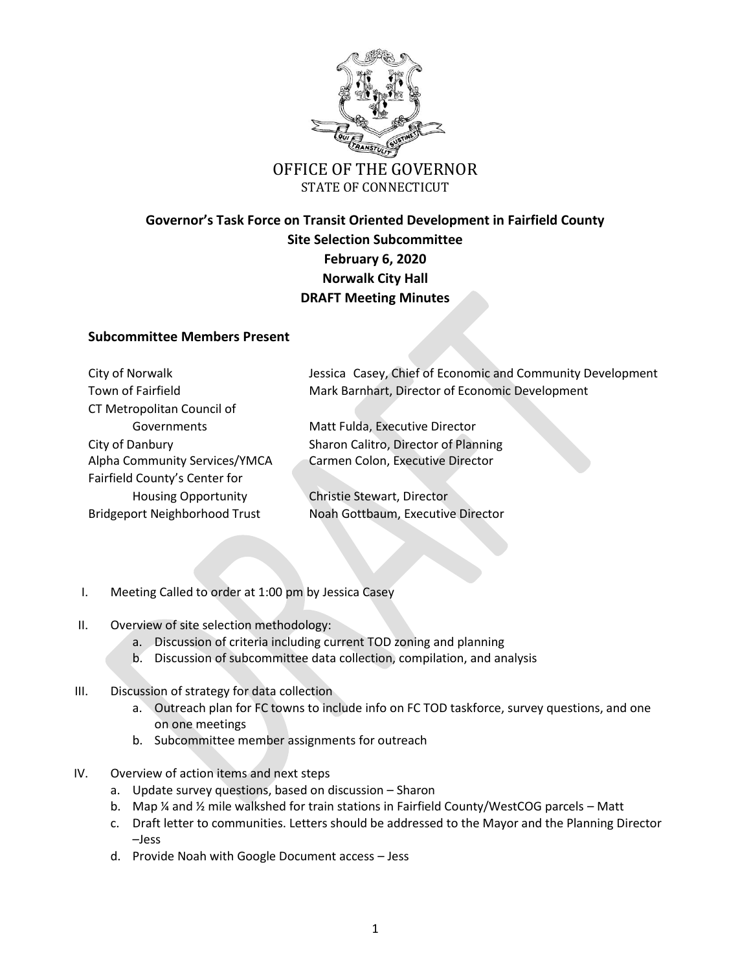

## STATE OF CONNECTICUT

# **Governor's Task Force on Transit Oriented Development in Fairfield County Site Selection Subcommittee February 6, 2020 Norwalk City Hall DRAFT Meeting Minutes**

## **Subcommittee Members Present**

| City of Norwalk                      | Jessica Casey, Chief of Economic and Community Development |
|--------------------------------------|------------------------------------------------------------|
| Town of Fairfield                    | Mark Barnhart, Director of Economic Development            |
| CT Metropolitan Council of           |                                                            |
| Governments                          | Matt Fulda, Executive Director                             |
| City of Danbury                      | Sharon Calitro, Director of Planning                       |
| Alpha Community Services/YMCA        | Carmen Colon, Executive Director                           |
| Fairfield County's Center for        |                                                            |
| <b>Housing Opportunity</b>           | Christie Stewart, Director                                 |
| <b>Bridgeport Neighborhood Trust</b> | Noah Gottbaum, Executive Director                          |

- I. Meeting Called to order at 1:00 pm by Jessica Casey
- II. Overview of site selection methodology:
	- a. Discussion of criteria including current TOD zoning and planning
	- b. Discussion of subcommittee data collection, compilation, and analysis
- III. Discussion of strategy for data collection
	- a. Outreach plan for FC towns to include info on FC TOD taskforce, survey questions, and one on one meetings
	- b. Subcommittee member assignments for outreach
- IV. Overview of action items and next steps
	- a. Update survey questions, based on discussion Sharon
	- b. Map ¼ and ½ mile walkshed for train stations in Fairfield County/WestCOG parcels Matt
	- c. Draft letter to communities. Letters should be addressed to the Mayor and the Planning Director –Jess
	- d. Provide Noah with Google Document access Jess